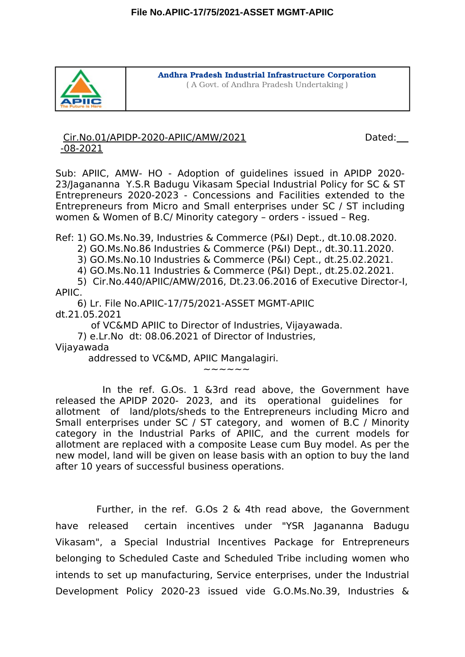

Andhra Pradesh Industrial Infrastructure Corporation ( A Govt. of Andhra Pradesh Undertaking )

Cir.No.01/APIDP-2020-APIIC/AMW/2021 Dated: -08-2021

Sub: APIIC, AMW- HO - Adoption of guidelines issued in APIDP 2020- 23/Jagananna Y.S.R Badugu Vikasam Special Industrial Policy for SC & ST Entrepreneurs 2020-2023 - Concessions and Facilities extended to the Entrepreneurs from Micro and Small enterprises under SC / ST including women & Women of B.C/ Minority category – orders - issued – Reg.

Ref: 1) GO.Ms.No.39, Industries & Commerce (P&I) Dept., dt.10.08.2020.

2) GO.Ms.No.86 Industries & Commerce (P&I) Dept., dt.30.11.2020.

3) GO.Ms.No.10 Industries & Commerce (P&I) Cept., dt.25.02.2021.

4) GO.Ms.No.11 Industries & Commerce (P&I) Dept., dt.25.02.2021.

5) Cir.No.440/APIIC/AMW/2016, Dt.23.06.2016 of Executive Director-I, APIIC.

6) Lr. File No.APIIC-17/75/2021-ASSET MGMT-APIIC dt.21.05.2021

of VC&MD APIIC to Director of Industries, Vijayawada.

7) e.Lr.No dt: 08.06.2021 of Director of Industries,

Vijayawada

addressed to VC&MD, APIIC Mangalagiri.

 $\sim$   $\sim$   $\sim$   $\sim$   $\sim$ 

In the ref. G.Os. 1 &3rd read above, the Government have released the APIDP 2020- 2023, and its operational guidelines for allotment of land/plots/sheds to the Entrepreneurs including Micro and Small enterprises under SC / ST category, and women of B.C / Minority category in the Industrial Parks of APIIC, and the current models for allotment are replaced with a composite Lease cum Buy model. As per the new model, land will be given on lease basis with an option to buy the land after 10 years of successful business operations.

Further, in the ref. G.Os 2 & 4th read above, the Government have released certain incentives under "YSR Jagananna Badugu Vikasam", a Special Industrial Incentives Package for Entrepreneurs belonging to Scheduled Caste and Scheduled Tribe including women who intends to set up manufacturing, Service enterprises, under the Industrial Development Policy 2020-23 issued vide G.O.Ms.No.39, Industries &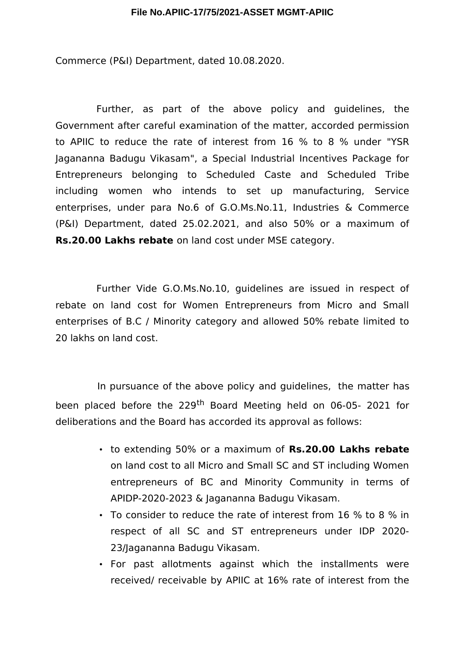## **File No.APIIC-17/75/2021-ASSET MGMT-APIIC**

Commerce (P&I) Department, dated 10.08.2020.

Further, as part of the above policy and guidelines, the Government after careful examination of the matter, accorded permission to APIIC to reduce the rate of interest from 16 % to 8 % under "YSR Jagananna Badugu Vikasam", a Special Industrial Incentives Package for Entrepreneurs belonging to Scheduled Caste and Scheduled Tribe including women who intends to set up manufacturing, Service enterprises, under para No.6 of G.O.Ms.No.11, Industries & Commerce (P&I) Department, dated 25.02.2021, and also 50% or a maximum of **Rs.20.00 Lakhs rebate** on land cost under MSE category.

Further Vide G.O.Ms.No.10, guidelines are issued in respect of rebate on land cost for Women Entrepreneurs from Micro and Small enterprises of B.C / Minority category and allowed 50% rebate limited to 20 lakhs on land cost.

In pursuance of the above policy and guidelines, the matter has been placed before the 229<sup>th</sup> Board Meeting held on 06-05- 2021 for deliberations and the Board has accorded its approval as follows:

- to extending 50% or a maximum of **Rs.20.00 Lakhs rebate** on land cost to all Micro and Small SC and ST including Women entrepreneurs of BC and Minority Community in terms of APIDP-2020-2023 & Jagananna Badugu Vikasam.
- To consider to reduce the rate of interest from 16 % to 8 % in respect of all SC and ST entrepreneurs under IDP 2020- 23/Jagananna Badugu Vikasam.
- For past allotments against which the installments were received/ receivable by APIIC at 16% rate of interest from the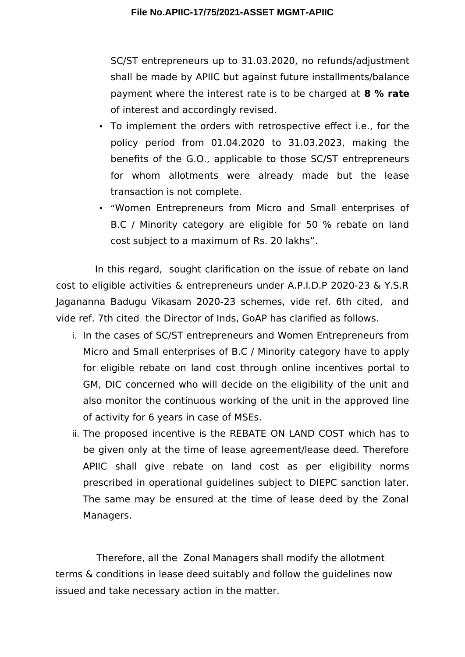SC/ST entrepreneurs up to 31.03.2020, no refunds/adjustment shall be made by APIIC but against future installments/balance payment where the interest rate is to be charged at **8 % rate** of interest and accordingly revised.

- To implement the orders with retrospective effect i.e., for the policy period from 01.04.2020 to 31.03.2023, making the benefts of the G.O., applicable to those SC/ST entrepreneurs for whom allotments were already made but the lease transaction is not complete.
- "Women Entrepreneurs from Micro and Small enterprises of B.C / Minority category are eligible for 50 % rebate on land cost subject to a maximum of Rs. 20 lakhs".

In this regard, sought clarifcation on the issue of rebate on land cost to eligible activities & entrepreneurs under A.P.I.D.P 2020-23 & Y.S.R Jagananna Badugu Vikasam 2020-23 schemes, vide ref. 6th cited, and vide ref. 7th cited the Director of Inds, GoAP has clarifed as follows.

- i. In the cases of SC/ST entrepreneurs and Women Entrepreneurs from Micro and Small enterprises of B.C / Minority category have to apply for eligible rebate on land cost through online incentives portal to GM, DIC concerned who will decide on the eligibility of the unit and also monitor the continuous working of the unit in the approved line of activity for 6 years in case of MSEs.
- ii. The proposed incentive is the REBATE ON LAND COST which has to be given only at the time of lease agreement/lease deed. Therefore APIIC shall give rebate on land cost as per eligibility norms prescribed in operational guidelines subject to DIEPC sanction later. The same may be ensured at the time of lease deed by the Zonal Managers.

Therefore, all the Zonal Managers shall modify the allotment terms & conditions in lease deed suitably and follow the guidelines now issued and take necessary action in the matter.